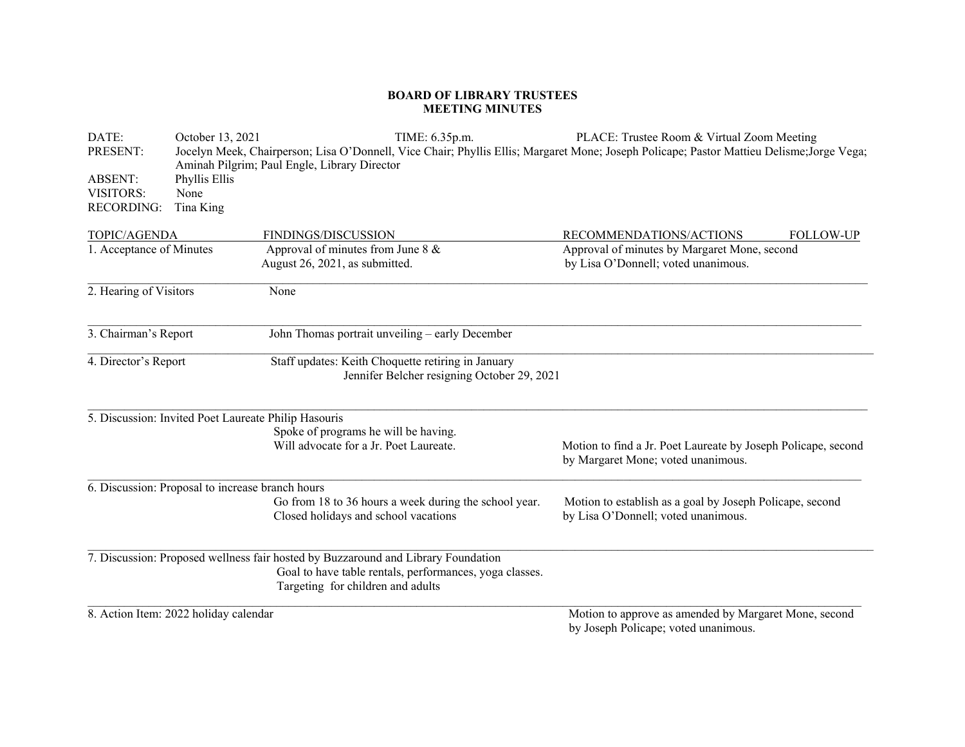## **BOARD OF LIBRARY TRUSTEES MEETING MINUTES**

\_\_\_\_\_\_\_\_\_\_\_\_\_\_\_\_\_\_\_\_\_\_\_\_\_\_\_\_\_\_\_\_\_\_\_\_\_\_\_\_\_\_\_\_\_\_\_\_\_\_\_\_\_\_\_\_\_\_\_\_\_\_\_\_\_\_\_\_\_\_\_\_\_\_\_\_\_\_\_\_\_\_\_\_\_\_\_\_\_\_\_\_\_\_\_\_\_\_\_\_\_\_\_\_\_\_\_\_\_\_\_\_\_\_\_\_\_\_\_\_\_\_\_\_\_\_\_\_ \_\_\_\_\_\_\_\_\_\_\_\_\_\_\_\_\_\_\_\_\_\_\_\_\_\_\_\_\_\_\_\_\_\_\_\_\_\_\_\_\_\_\_\_\_\_\_\_\_\_\_\_\_\_\_\_\_\_\_\_\_\_\_\_\_\_\_\_\_\_\_\_\_\_\_\_\_\_\_\_\_\_\_\_\_\_\_\_\_\_\_\_\_\_\_\_\_\_\_\_\_\_\_\_\_\_\_\_\_\_\_\_\_\_\_\_\_\_\_\_\_\_\_\_\_\_\_ \_\_\_\_\_\_\_\_\_\_\_\_\_\_\_\_\_\_\_\_\_\_\_\_\_\_\_\_\_\_\_\_\_\_\_\_\_\_\_\_\_\_\_\_\_\_\_\_\_\_\_\_\_\_\_\_\_\_\_\_\_\_\_\_\_\_\_\_\_\_\_\_\_\_\_\_\_\_\_\_\_\_\_\_\_\_\_\_\_\_\_\_\_\_\_\_\_\_\_\_\_\_\_\_\_\_\_\_\_\_\_\_\_\_\_\_\_\_\_\_\_\_\_\_\_\_\_\_\_ \_\_\_\_\_\_\_\_\_\_\_\_\_\_\_\_\_\_\_\_\_\_\_\_\_\_\_\_\_\_\_\_\_\_\_\_\_\_\_\_\_\_\_\_\_\_\_\_\_\_\_\_\_\_\_\_\_\_\_\_\_\_\_\_\_\_\_\_\_\_\_\_\_\_\_\_\_\_\_\_\_\_\_\_\_\_\_\_\_\_\_\_\_\_\_\_\_\_\_\_\_\_\_\_\_\_\_\_\_\_\_\_\_\_\_\_\_\_\_\_\_\_\_\_\_\_\_\_ \_\_\_\_\_\_\_\_\_\_\_\_\_\_\_\_\_\_\_\_\_\_\_\_\_\_\_\_\_\_\_\_\_\_\_\_\_\_\_\_\_\_\_\_\_\_\_\_\_\_\_\_\_\_\_\_\_\_\_\_\_\_\_\_\_\_\_\_\_\_\_\_\_\_\_\_\_\_\_\_\_\_\_\_\_\_\_\_\_\_\_\_\_\_\_\_\_\_\_\_\_\_\_\_\_\_\_\_\_\_\_\_\_\_\_\_\_\_\_\_\_\_\_\_\_\_\_ 7. Discussion: Proposed wellness fair hosted by Buzzaround and Library Foundation \_\_\_\_\_\_\_\_\_\_\_\_\_\_\_\_\_\_\_\_\_\_\_\_\_\_\_\_\_\_\_\_\_\_\_\_\_\_\_\_\_\_\_\_\_\_\_\_\_\_\_\_\_\_\_\_\_\_\_\_\_\_\_\_\_\_\_\_\_\_\_\_\_\_\_\_\_\_\_\_\_\_\_\_\_\_\_\_\_\_\_\_\_\_\_\_\_\_\_\_\_\_\_\_\_\_\_\_\_\_\_\_\_\_\_\_\_\_\_\_\_\_\_\_\_\_\_ DATE: October 13, 2021 13, 2021 TIME: 6.35p.m. PLACE: Trustee Room & Virtual Zoom Meeting PRESENT: Jocelyn Meek, Chairperson; Lisa O'Donnell, Vice Chair; Phyllis Ellis; Margaret Mone; Joseph Policape; Pastor Mattieu Delisme;Jorge Vega; Aminah Pilgrim; Paul Engle, Library Director ABSENT: Phyllis Ellis VISITORS: NoneRECORDING: Tina King TOPIC/AGENDA FINDINGS/DISCUSSION RECOMMENDATIONS/ACTIONS FOLLOW-UP 1. Acceptance of Minutes Approval of minutes from June 8 & Approval of minutes by Margaret Mone, second August 26, 2021, as submitted. by Lisa O'Donnell; voted unanimous. 2. Hearing of Visitors None 3. Chairman's Report John Thomas portrait unveiling – early December 4. Director's Report Staff updates: Keith Choquette retiring in January Jennifer Belcher resigning October 29, 2021 5. Discussion: Invited Poet Laureate Philip Hasouris Spoke of programs he will be having.<br>Will advocate for a Jr. Poet Laureate. Motion to find a Jr. Poet Laureate by Joseph Policape, second by Margaret Mone; voted unanimous. 6. Discussion: Proposal to increase branch hours Go from 18 to 36 hours a week during the school year. Motion to establish as a goal by Joseph Policape, second Closed holidays and school vacations by Lisa O'Donnell; voted unanimous. Goal to have table rentals, performances, yoga classes. Targeting for children and adults 8. Action Item: 2022 holiday calendar Motion to approve as amended by Margaret Mone, second by Joseph Policape; voted unanimous.